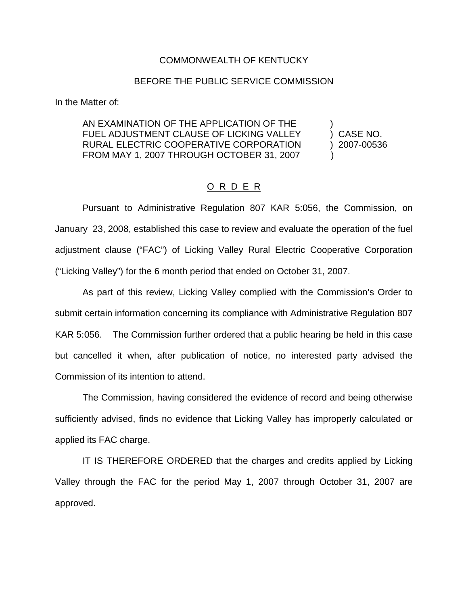## COMMONWEALTH OF KENTUCKY

## BEFORE THE PUBLIC SERVICE COMMISSION

In the Matter of:

## AN EXAMINATION OF THE APPLICATION OF THE FUEL ADJUSTMENT CLAUSE OF LICKING VALLEY (and CASE NO. RURAL ELECTRIC COOPERATIVE CORPORATION ) 2007-00536 FROM MAY 1, 2007 THROUGH OCTOBER 31, 2007

## O R D E R

Pursuant to Administrative Regulation 807 KAR 5:056, the Commission, on January 23, 2008, established this case to review and evaluate the operation of the fuel adjustment clause ("FAC") of Licking Valley Rural Electric Cooperative Corporation ("Licking Valley") for the 6 month period that ended on October 31, 2007.

As part of this review, Licking Valley complied with the Commission's Order to submit certain information concerning its compliance with Administrative Regulation 807 KAR 5:056. The Commission further ordered that a public hearing be held in this case but cancelled it when, after publication of notice, no interested party advised the Commission of its intention to attend.

The Commission, having considered the evidence of record and being otherwise sufficiently advised, finds no evidence that Licking Valley has improperly calculated or applied its FAC charge.

IT IS THEREFORE ORDERED that the charges and credits applied by Licking Valley through the FAC for the period May 1, 2007 through October 31, 2007 are approved.